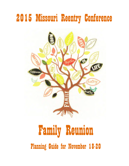

# Family Reunion Planning Guide for November 18-20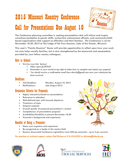# 2015 Missouri Reentry Conference Call for Presentations Due August 10



**The Conference planning committee is seeking presentations that will inform and inspire corrections/probation & parole staffs, justice/law enforcement officials, and community/faith based organizations that support ex-offenders and their families. The Conference is set for November 18-20, 2015 at The Lodge of the Four Seasons, Lake of the Ozarks, Missouri.**

**This year's "Family Reunion" theme will provide opportunities to reflect upon how your work not only helps reunify families, but is also strengthened by the teamwork and camaraderie provided by your fellow reentry colleagues.**

#### How to Submit:

- **On-line (use link below)**
	- o **https://goo.gl/0CifzH**
	- o *Remember to save record at top right of online form to complete and submit your proposal*
	- o *You should receive a confirmation email from stlarchs@gmail.com once your submission has been received*

#### Deadlines:

- **Call Deadline: Monday, August 10, 2015**
	- **Notifications: Late August 2015**

#### Evaluation Criteria for Proposals:

- **Highly interactive/hands-on presentations**
- **Relevance to attendees**
- **Well-defined topic with focused objectives**
- **Timeliness of topic**
- **Original material**
- **Overall quality of proposed presentation's content**
- **Completeness of presentation proposal**
- **Availability/flexibility to present November 18-20**
- **Presenter's background and experience**

#### Benefits of Being a Presenter:

- **Share your expertise and experience**
- **Be recognized as a leader in the reentry field**
- **Receive discounted Conference registration (only \$50 per presenter up to 3 per session)**

#### *For questions or technical support, contact Gail Dickson at 314-534-0022 or dicksong@stlarchs.org*









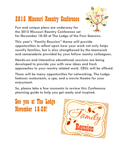**Fun and unique plans are underway for the 2015 Missouri Reentry Conference set for November 18-20 at The Lodge of the Four Seasons.**

**This year's "Family Reunion" theme will provide opportunities to reflect upon how your work not only helps reunify families, but is also strengthened by the teamwork and camaraderie provided by your fellow reentry colleagues.**

**Hands-on and interactive educational sessions are being developed to provide you with new ideas and fresh approaches to your reentry related work. CEUs will be offered.**

**There will be many opportunities for networking. The Lodge features restaurants, a spa, and a movie theatre for your enjoyment.**

**So, please take a few moments to review this Conference planning guide to help you get ready and inspired.** 

See you at The Lodge November 18-20!



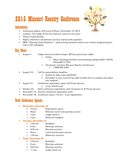#### Information:

- **Conference begins with lunch at Noon, November 18, 2015**
- **Location: The Lodge of the Four Seasons (same as last year)**
- **Theme:** *Family Reunion*
- **Highly interactive educational sessions and keynote speakers**
- **NEW: "Sharing Center Displays" please bring handouts about your reentry programming to share with colleagues**

#### Key Dates:

- **August 1: Lodge room reservations begin (\$70 per person/per night)**
	- **Online**
		- o **https://bookings.ihotelier.com/bookings.jsp?groupID=138196 3&hotelID=17336**
	- **Via phone: (mention Missouri Reentry Conference)** o **1-888-409-5304**
- **August 10: Call for presentations deadline**
	- **Submit at: https://goo.gl/0CifzH**
	- *Remember to save record at top right of online form to complete and submit your proposal*
- **August 31: Conference registration opens (\$125 per person)**
	- **www.stlarchs.org**
	- **October 23: Early conference registration ends (increases to \$175 per person)**
- **November 16: On-line conference registration ends**
- **November 18: Conference opens (10 am 5 pm registration)**

#### Draft Conference Agenda:

- **Wednesday, November 18**
	- o **10 am: Registration opens**
	- o **Noon: Welcome lunch and opening session**
	- o **3 pm: Lodge check in**
	- o **5 pm: Welcome reception**
- **Thursday, November 19**
	- o **7:30 am: Breakfast**
	- o **8 am: Morning welcome**
	- o **8:30 am: Morning sessions**
	- o **Noon: Lunch and keynote session**
	- o **1:30 pm Afternoon sessions**
- **Friday, November 20**
	- o **7:30 am: Breakfast**
	- o **8 am: Morning welcome**
	- o **8:30 am: Morning sessions**
	- o **11 am: Lodge check out**

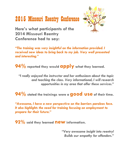

**Here's what participants of the 2014 Missouri Reentry Conference had to say:**

*"The training was very insightful on the information provided. I received new ideas to bring back to my job. Very well presented and interesting."* 

**94% reported they would apply what they learned.**

*"I really enjoyed the instructor and her enthusiasm about the topic and teaching the class. Very informational, I will research opportunities in my area that offer these services."* 

**94% stated the trainings were a good use of their time.**

*"Awesome, I have a new perspective on the barriers parolees face. It also highlights the need for training focusing on employment to prepare for their future."* 

**92% said they learned new information.** 

*"Very awesome insight into reentry! Builds our empathy for offenders."*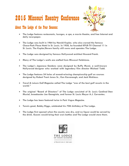#### About The Lodge of the Four Seasons:



- **The Lodge features restaurants, lounges, a spa, a movie theatre, and free Internet and daily newspaper.**
- **The Lodge was built in 1964 by Harold Koplar, who also owned the famous Chase-Park Plaza Hotel in St. Louis. In 1958, he founded KPLR-TV Channel 11 in St. Louis. The Koplar/Brown family still owns and operates The Lodge.**
- **The Lodge was designed by famous Hollywood architect Howard Frank.**
- **Many of The Lodge's walls are crafted from Missouri fieldstone.**
- **The Lodge's Japanese Gardens were designed by Buffy Murai, a well-known Hollywood designer who worked with legendary film director Michael Todd.**
- **The Lodge features 54 holes of award-winning championship golf on courses designed by Robert Trent Jones Sr., Ken Kavanaugh, and Jack Nicklaus.**
- *Travel & Leisure Golf Magazine* **called The Lodge "one of the best golf resorts in the world."**
- **The original "Board of Directors" of The Lodge consisted of St. Louis Cardinal Stan Musial, broadcaster Joe Garagiola, and former St. Louis Mayor A.J. Cervantes.**
- **The Lodge has been featured twice in** *Paris Vogue Magazine.*
- **Tennis great, Bobby Riggs, celebrated his 70th birthday at The Lodge.**
- **The Lodge first opened when the county was dry, and no liquor could be served by the drink. Guests would bring their own bottles and The Lodge would store them.**

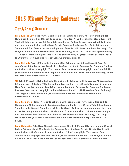#### Travel/Driving Directions:



**From Kansas City: Take Hwy 50 east from Lees Summit to Tipton. At Tipton stoplight, take Hwy 5 south. Go left on 52 east. Take 52 east to Eldon. At 2nd stoplight in Eldon, turn right. That will take you to Hwy 54. Turn right on 54 west. Follow 54 west approximately 9 miles and turn right on Business 54 at Lake Ozark. Go about 2 miles on Bus. 54 to 1st stoplight. Turn toward Four Seasons at the stoplight onto State Rd. HH (Horseshoe Bend Parkway). The Lodge is 3 miles down HH (Horseshoe Bend Parkway) on the left. Travel time approximately 2 1/2 hours. From the airport, take 435 loop south to Hwy 50 (please allow an additional 60 to 90 minutes of travel time to reach Lake Ozark from airport).** 

**From St. Louis: Take I-70 west to Kingdom City. Exit onto Hwy 54 south(west). Take 54 south(west) 80 miles to Lake Ozark. At Lake Ozark, exit onto Business 54. Go about 2 miles on Business 54 to 1st stoplight. Turn toward Four Seasons at the stoplight onto State Rd. HH (Horseshoe Bend Parkway). The Lodge is 3 miles down HH (Horseshoe Bend Parkway) on the left. Travel time approximately 2 1/2 hours.** 

**OR take I-44 west to Rolla. Exit onto Hwy 63 north. Take 63 north to Vienna. At Vienna, turn left onto Hwy 42. Follow 42 to the end and turn right on Hwy 54 east. Go about 2 miles on Hwy 54 to the 1st stoplight. Turn left at the stoplight onto Business 54. Go about 3 miles on Business 54 to the next stoplight and turn left onto State Rd. HH (Horseshoe Bend Parkway). The Lodge is 3 miles down HH (Horseshoe Bend Parkway) on the left. Travel time approximately 3 hours.**

**From Springfield: Take I-44 east to Lebanon. At Lebanon, take Hwy 5 north (2nd exit) to Camdenton. At the stoplight in Camdenton, turn right onto Hwy 54 east. Take 54 east about 16 miles to the Bagnell Dam Blvd. exit in Lake Ozark. Follow the loop around and turn right at the 1st stoplight onto Business 54. Go about 3 miles on Business 54 to the next stoplight and turn toward Four Seasons onto State Rd. HH (Horseshoe Bend Parkway). The Lodge is 3 miles down HH (Horseshoe Bend Parkway) on the left. Travel time approximately 1 1/2 hours.**

**From Columbia: Take Hwy 63 south to Jefferson City. In Jefferson City turn right on 54 west. Follow 54 west about 50 miles to the Business 54 exit in Lake Ozark. At Lake Ozark, exit onto Business 54. Go about 2 miles on Business 54 to 1st stoplight. Turn toward Four Seasons at the stoplight onto State Rd. HH (Horseshoe Bend Parkway). The Lodge is 3 miles down HH (Horseshoe Bend Parkway) on the left. Travel time approximately 90 minutes.**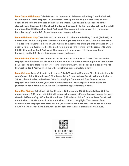**From Tulsa, Oklahoma: Take I-44 east to Lebanon. At Lebanon, take Hwy 5 north (2nd exit) to Camdenton. At the stoplight in Camdenton, turn right onto Hwy 54 east. Take 54 east about 16 miles to the Business 54 exit in Lake Ozark. Turn toward Four Seasons at the stoplight onto Business 54. Go about 3 miles on Business 54 to the next stoplight and turn left onto State Rd. HH (Horseshoe Bend Parkway). The Lodge is 3 miles down HH (Horseshoe Bend Parkway) on the left. Travel time approximately 4 hours.**

**From Oklahoma City: Take I-44 east to Lebanon. At Lebanon, take Hwy 5 north (2nd exit) to Camdenton. At the stoplight in Camdenton, turn right onto Hwy 54 east. Take 54 east about 16 miles to the Business 54 exit in Lake Ozark. Turn left at the stoplight onto Business 54. Go about 3 miles on Business 54 to the next stoplight and turn toward Four Seasons onto State Rd. HH (Horseshoe Bend Parkway). The Lodge is 3 miles down HH (Horseshoe Bend Parkway) on the left. Travel time approximately 6 hours.**

**From Wichita, Kansas: Take 54 east to the Business 54 exit in Lake Ozark. Turn left at the stoplight onto Business 54. Go about 3 miles on Bus. 54 to the next stoplight and turn toward Four Seasons onto State Rd. HH (Horseshoe Bend Parkway). The Lodge is 3 miles down HH (Horseshoe Bend Parkway) on the left. Travel time approximately 5 hours.**

**From Chicago: Take I-55 south to St. Louis. Take I-70 west to Kingdom City. Exit onto Hwy 54 south(west). Take 54 south(west) 80 miles to Lake Ozark. At Lake Ozark, exit onto Business 54. Go about 2 miles on Business 54 to 1st stoplight. Turn toward Four Seasons at the stoplight onto State Rd. HH (Horseshoe Bend Parkway). The Lodge is 3 miles down HH (Horseshoe Bend Parkway) on the left. Travel time approximately 7 hours.**

**From Des Moines: Take East 163 for 47 miles. 163 turns into US-63 South, follow 63 S for approximately 208 miles, US- 63 S will merge with several different highway along the way. Once in Jefferson City, MO take 54 south(west) 41 miles to Lake Ozark. At Lake Ozark, exit onto Business 54. Go about 2 miles on Business 54 to 1st stoplight. Turn toward Four Seasons at the stoplight onto State Rd. HH (Horseshoe Bend Parkway). The Lodge is 3 miles down HH (Horseshoe Bend Parkway) on the left. Travel time approximately 5 hours.**



A TRADITION AT THE LAKE